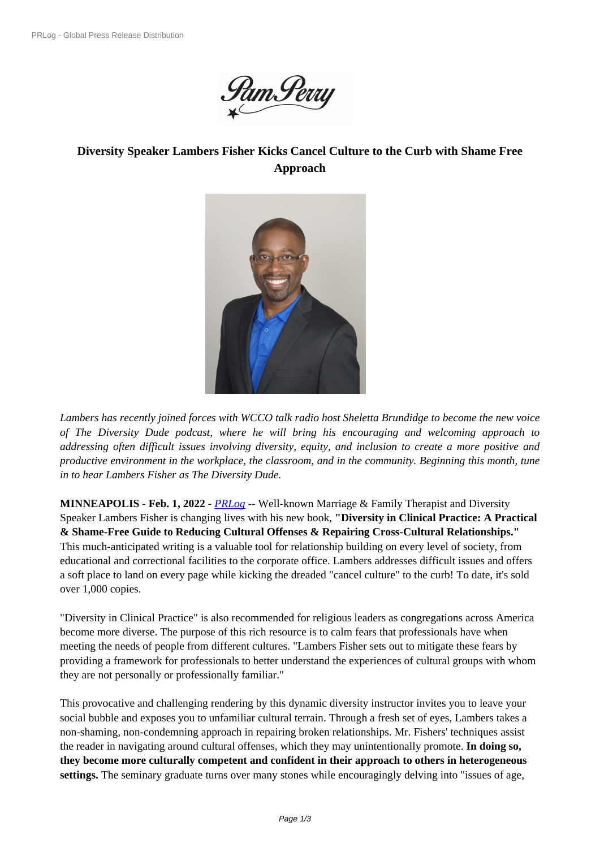

## **Diversity Speaker Lamber[s Fisher Kicks Cancel Cultu](https://biz.prlog.org/pamperry/)re to the Curb with Shame Free Approach**



*Lambers has recently joined for[ces with WCCO talk radio host Shele](https://www.prlog.org/12903470-lambers-fisher-diversitymadesimplecom.jpg)tta Brundidge to become the new voice of The Diversity Dude podcast, where he will bring his encouraging and welcoming approach to addressing often difficult issues involving diversity, equity, and inclusion to create a more positive and productive environment in the workplace, the classroom, and in the community. Beginning this month, tune in to hear Lambers Fisher as The Diversity Dude.*

**MINNEAPOLIS** - **Feb. 1, 2022** - *PRLog* -- Well-known Marriage & Family Therapist and Diversity Speaker Lambers Fisher is changing lives with his new book, **"Diversity in Clinical Practice: A Practical & Shame-Free Guide to Reducing Cultural Offenses & Repairing Cross-Cultural Relationships."** This much-anticipated writing is a valuable tool for relationship building on every level of society, from educational and correctional facilit[ies to th](https://www.prlog.org)e corporate office. Lambers addresses difficult issues and offers a soft place to land on every page while kicking the dreaded "cancel culture" to the curb! To date, it's sold over 1,000 copies.

"Diversity in Clinical Practice" is also recommended for religious leaders as congregations across America become more diverse. The purpose of this rich resource is to calm fears that professionals have when meeting the needs of people from different cultures. "Lambers Fisher sets out to mitigate these fears by providing a framework for professionals to better understand the experiences of cultural groups with whom they are not personally or professionally familiar."

This provocative and challenging rendering by this dynamic diversity instructor invites you to leave your social bubble and exposes you to unfamiliar cultural terrain. Through a fresh set of eyes, Lambers takes a non-shaming, non-condemning approach in repairing broken relationships. Mr. Fishers' techniques assist the reader in navigating around cultural offenses, which they may unintentionally promote. **In doing so, they become more culturally competent and confident in their approach to others in heterogeneous settings.** The seminary graduate turns over many stones while encouragingly delving into "issues of age,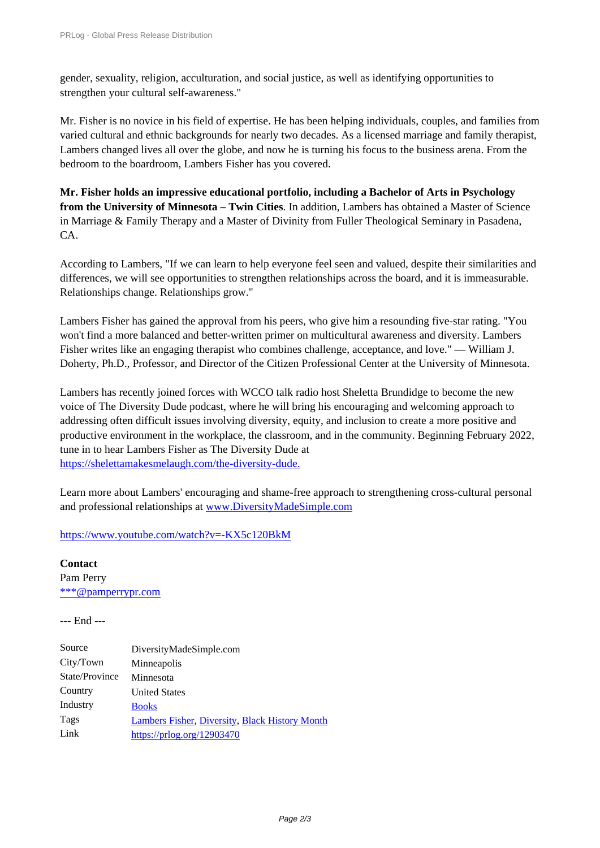gender, sexuality, religion, acculturation, and social justice, as well as identifying opportunities to [strengthen your cultural self-aware](https://www.prlog.org/)ness."

Mr. Fisher is no novice in his field of expertise. He has been helping individuals, couples, and families from varied cultural and ethnic backgrounds for nearly two decades. As a licensed marriage and family therapist, Lambers changed lives all over the globe, and now he is turning his focus to the business arena. From the bedroom to the boardroom, Lambers Fisher has you covered.

**Mr. Fisher holds an impressive educational portfolio, including a Bachelor of Arts in Psychology from the University of Minnesota – Twin Cities**. In addition, Lambers has obtained a Master of Science in Marriage & Family Therapy and a Master of Divinity from Fuller Theological Seminary in Pasadena, CA.

According to Lambers, "If we can learn to help everyone feel seen and valued, despite their similarities and differences, we will see opportunities to strengthen relationships across the board, and it is immeasurable. Relationships change. Relationships grow."

Lambers Fisher has gained the approval from his peers, who give him a resounding five-star rating. "You won't find a more balanced and better-written primer on multicultural awareness and diversity. Lambers Fisher writes like an engaging therapist who combines challenge, acceptance, and love." — William J. Doherty, Ph.D., Professor, and Director of the Citizen Professional Center at the University of Minnesota.

Lambers has recently joined forces with WCCO talk radio host Sheletta Brundidge to become the new voice of The Diversity Dude podcast, where he will bring his encouraging and welcoming approach to addressing often difficult issues involving diversity, equity, and inclusion to create a more positive and productive environment in the workplace, the classroom, and in the community. Beginning February 2022, tune in to hear Lambers Fisher as The Diversity Dude at https://shelettamakesmelaugh.com/the-diversity-dude.

Learn more about Lambers' encouraging and shame-free approach to strengthening cross-cultural personal [and professional relationships at www.DiversityMadeS](https://shelettamakesmelaugh.com/the-diversity-dude)imple.com

https://www.youtube.com/watch?v=-KX5c120BkM

**Contact** Pam Perry [\\*\\*\\*@pamperrypr.com](http://www.DiversityMadeSimple.com)

--- End ---

| DiversityMadeSimple.com                               |
|-------------------------------------------------------|
| Minneapolis                                           |
| Minnesota                                             |
| <b>United States</b>                                  |
| <b>Books</b>                                          |
| <b>Lambers Fisher, Diversity, Black History Month</b> |
| https://prlog.org/12903470                            |
|                                                       |